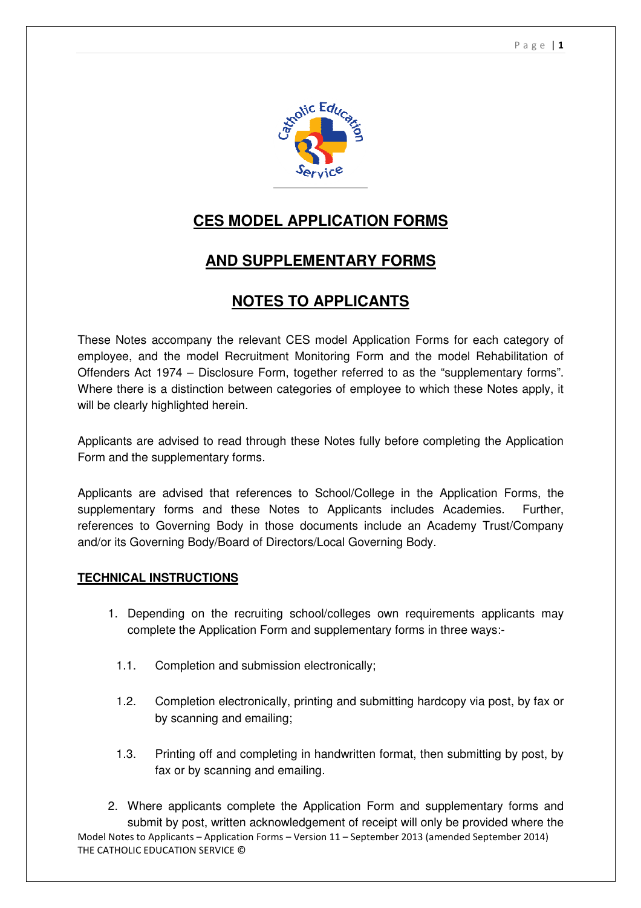

# **CES MODEL APPLICATION FORMS**

# **AND SUPPLEMENTARY FORMS**

# **NOTES TO APPLICANTS**

These Notes accompany the relevant CES model Application Forms for each category of employee, and the model Recruitment Monitoring Form and the model Rehabilitation of Offenders Act 1974 – Disclosure Form, together referred to as the "supplementary forms". Where there is a distinction between categories of employee to which these Notes apply, it will be clearly highlighted herein.

Applicants are advised to read through these Notes fully before completing the Application Form and the supplementary forms.

Applicants are advised that references to School/College in the Application Forms, the supplementary forms and these Notes to Applicants includes Academies. Further, references to Governing Body in those documents include an Academy Trust/Company and/or its Governing Body/Board of Directors/Local Governing Body.

#### **TECHNICAL INSTRUCTIONS**

- 1. Depending on the recruiting school/colleges own requirements applicants may complete the Application Form and supplementary forms in three ways:-
	- 1.1. Completion and submission electronically;
	- 1.2. Completion electronically, printing and submitting hardcopy via post, by fax or by scanning and emailing;
	- 1.3. Printing off and completing in handwritten format, then submitting by post, by fax or by scanning and emailing.

Model Notes to Applicants – Application Forms – Version 11 – September 2013 (amended September 2014) THE CATHOLIC EDUCATION SERVICE © 2. Where applicants complete the Application Form and supplementary forms and submit by post, written acknowledgement of receipt will only be provided where the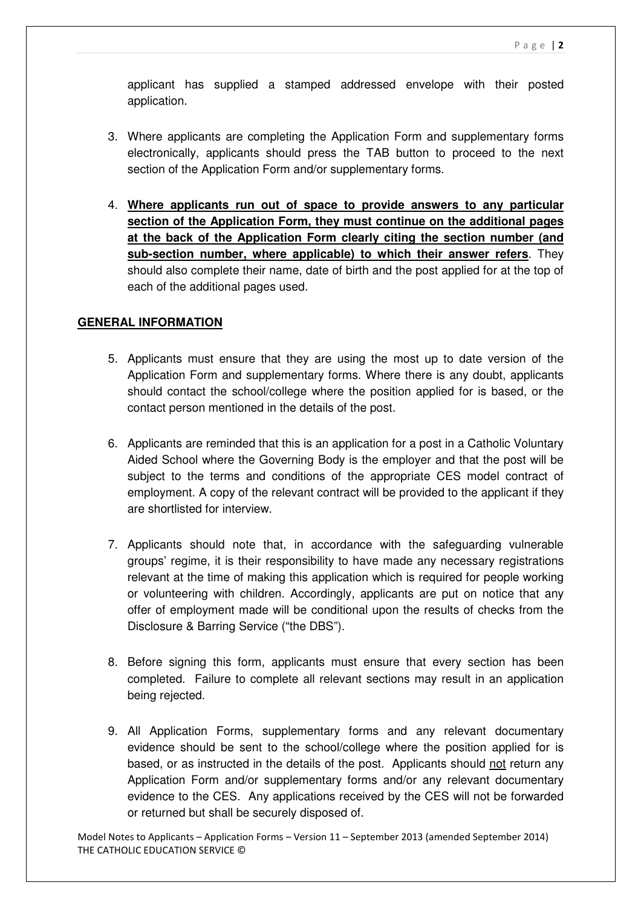applicant has supplied a stamped addressed envelope with their posted application.

- 3. Where applicants are completing the Application Form and supplementary forms electronically, applicants should press the TAB button to proceed to the next section of the Application Form and/or supplementary forms.
- 4. **Where applicants run out of space to provide answers to any particular section of the Application Form, they must continue on the additional pages at the back of the Application Form clearly citing the section number (and sub-section number, where applicable) to which their answer refers**. They should also complete their name, date of birth and the post applied for at the top of each of the additional pages used.

### **GENERAL INFORMATION**

- 5. Applicants must ensure that they are using the most up to date version of the Application Form and supplementary forms. Where there is any doubt, applicants should contact the school/college where the position applied for is based, or the contact person mentioned in the details of the post.
- 6. Applicants are reminded that this is an application for a post in a Catholic Voluntary Aided School where the Governing Body is the employer and that the post will be subject to the terms and conditions of the appropriate CES model contract of employment. A copy of the relevant contract will be provided to the applicant if they are shortlisted for interview.
- 7. Applicants should note that, in accordance with the safeguarding vulnerable groups' regime, it is their responsibility to have made any necessary registrations relevant at the time of making this application which is required for people working or volunteering with children. Accordingly, applicants are put on notice that any offer of employment made will be conditional upon the results of checks from the Disclosure & Barring Service ("the DBS").
- 8. Before signing this form, applicants must ensure that every section has been completed. Failure to complete all relevant sections may result in an application being rejected.
- 9. All Application Forms, supplementary forms and any relevant documentary evidence should be sent to the school/college where the position applied for is based, or as instructed in the details of the post. Applicants should not return any Application Form and/or supplementary forms and/or any relevant documentary evidence to the CES. Any applications received by the CES will not be forwarded or returned but shall be securely disposed of.

Model Notes to Applicants – Application Forms – Version 11 – September 2013 (amended September 2014) THE CATHOLIC EDUCATION SERVICE ©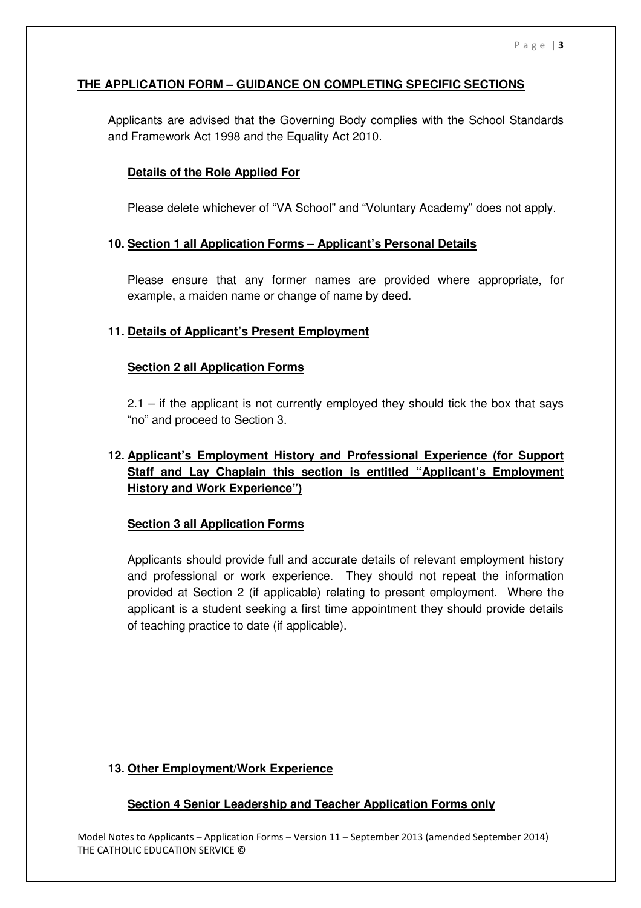# **THE APPLICATION FORM – GUIDANCE ON COMPLETING SPECIFIC SECTIONS**

Applicants are advised that the Governing Body complies with the School Standards and Framework Act 1998 and the Equality Act 2010.

#### **Details of the Role Applied For**

Please delete whichever of "VA School" and "Voluntary Academy" does not apply.

#### **10. Section 1 all Application Forms – Applicant's Personal Details**

Please ensure that any former names are provided where appropriate, for example, a maiden name or change of name by deed.

### **11. Details of Applicant's Present Employment**

#### **Section 2 all Application Forms**

2.1 – if the applicant is not currently employed they should tick the box that says "no" and proceed to Section 3.

# **12. Applicant's Employment History and Professional Experience (for Support Staff and Lay Chaplain this section is entitled "Applicant's Employment History and Work Experience")**

#### **Section 3 all Application Forms**

Applicants should provide full and accurate details of relevant employment history and professional or work experience. They should not repeat the information provided at Section 2 (if applicable) relating to present employment. Where the applicant is a student seeking a first time appointment they should provide details of teaching practice to date (if applicable).

#### **13. Other Employment/Work Experience**

#### **Section 4 Senior Leadership and Teacher Application Forms only**

Model Notes to Applicants – Application Forms – Version 11 – September 2013 (amended September 2014) THE CATHOLIC EDUCATION SERVICE ©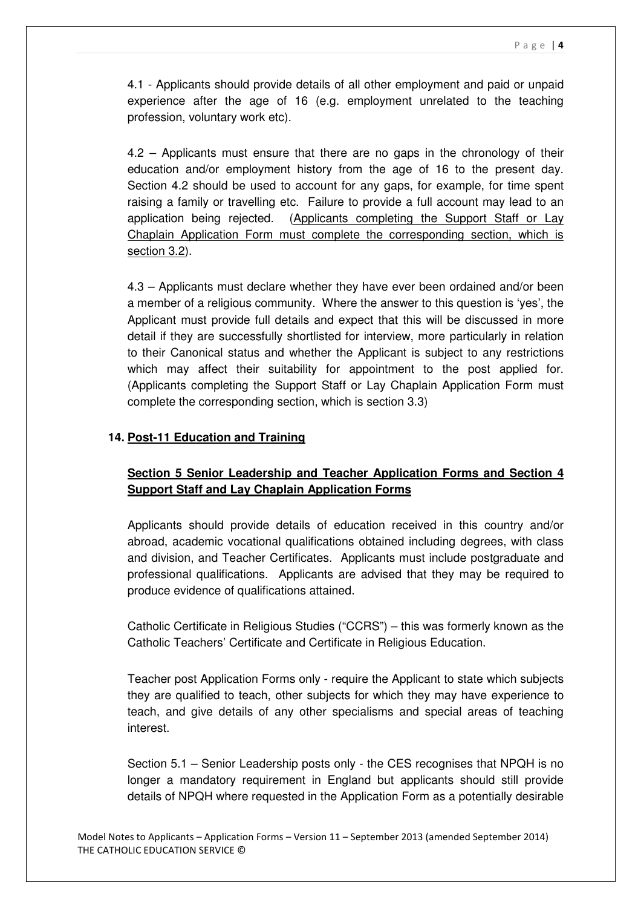4.1 - Applicants should provide details of all other employment and paid or unpaid experience after the age of 16 (e.g. employment unrelated to the teaching profession, voluntary work etc).

4.2 – Applicants must ensure that there are no gaps in the chronology of their education and/or employment history from the age of 16 to the present day. Section 4.2 should be used to account for any gaps, for example, for time spent raising a family or travelling etc. Failure to provide a full account may lead to an application being rejected. (Applicants completing the Support Staff or Lay Chaplain Application Form must complete the corresponding section, which is section 3.2).

4.3 – Applicants must declare whether they have ever been ordained and/or been a member of a religious community. Where the answer to this question is 'yes', the Applicant must provide full details and expect that this will be discussed in more detail if they are successfully shortlisted for interview, more particularly in relation to their Canonical status and whether the Applicant is subject to any restrictions which may affect their suitability for appointment to the post applied for. (Applicants completing the Support Staff or Lay Chaplain Application Form must complete the corresponding section, which is section 3.3)

### **14. Post-11 Education and Training**

# **Section 5 Senior Leadership and Teacher Application Forms and Section 4 Support Staff and Lay Chaplain Application Forms**

Applicants should provide details of education received in this country and/or abroad, academic vocational qualifications obtained including degrees, with class and division, and Teacher Certificates. Applicants must include postgraduate and professional qualifications. Applicants are advised that they may be required to produce evidence of qualifications attained.

Catholic Certificate in Religious Studies ("CCRS") – this was formerly known as the Catholic Teachers' Certificate and Certificate in Religious Education.

Teacher post Application Forms only - require the Applicant to state which subjects they are qualified to teach, other subjects for which they may have experience to teach, and give details of any other specialisms and special areas of teaching interest.

Section 5.1 – Senior Leadership posts only - the CES recognises that NPQH is no longer a mandatory requirement in England but applicants should still provide details of NPQH where requested in the Application Form as a potentially desirable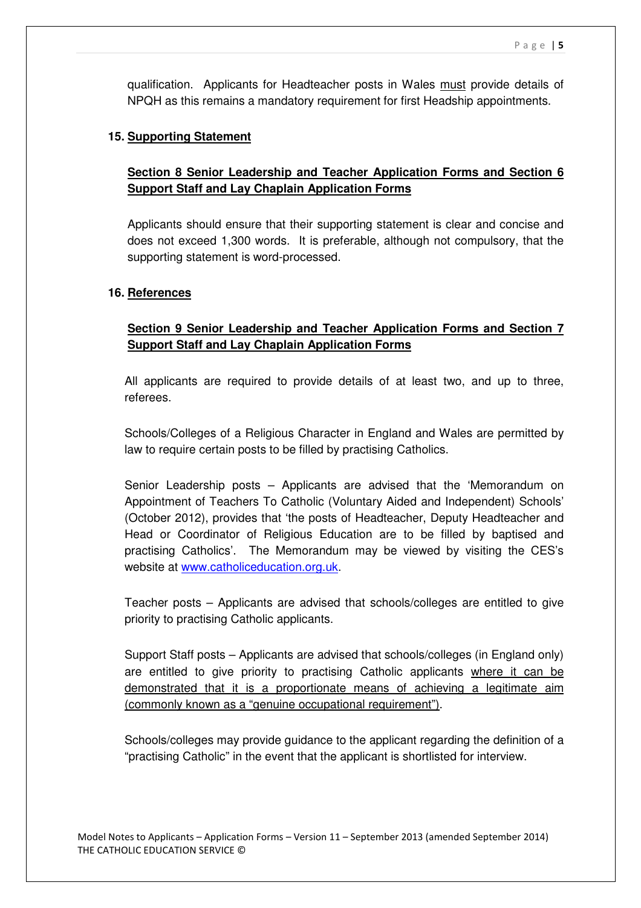qualification. Applicants for Headteacher posts in Wales must provide details of NPQH as this remains a mandatory requirement for first Headship appointments.

#### **15. Supporting Statement**

# **Section 8 Senior Leadership and Teacher Application Forms and Section 6 Support Staff and Lay Chaplain Application Forms**

Applicants should ensure that their supporting statement is clear and concise and does not exceed 1,300 words. It is preferable, although not compulsory, that the supporting statement is word-processed.

#### **16. References**

# **Section 9 Senior Leadership and Teacher Application Forms and Section 7 Support Staff and Lay Chaplain Application Forms**

All applicants are required to provide details of at least two, and up to three, referees.

Schools/Colleges of a Religious Character in England and Wales are permitted by law to require certain posts to be filled by practising Catholics.

Senior Leadership posts – Applicants are advised that the 'Memorandum on Appointment of Teachers To Catholic (Voluntary Aided and Independent) Schools' (October 2012), provides that 'the posts of Headteacher, Deputy Headteacher and Head or Coordinator of Religious Education are to be filled by baptised and practising Catholics'. The Memorandum may be viewed by visiting the CES's website at www.catholiceducation.org.uk.

Teacher posts – Applicants are advised that schools/colleges are entitled to give priority to practising Catholic applicants.

Support Staff posts – Applicants are advised that schools/colleges (in England only) are entitled to give priority to practising Catholic applicants where it can be demonstrated that it is a proportionate means of achieving a legitimate aim (commonly known as a "genuine occupational requirement").

Schools/colleges may provide guidance to the applicant regarding the definition of a "practising Catholic" in the event that the applicant is shortlisted for interview.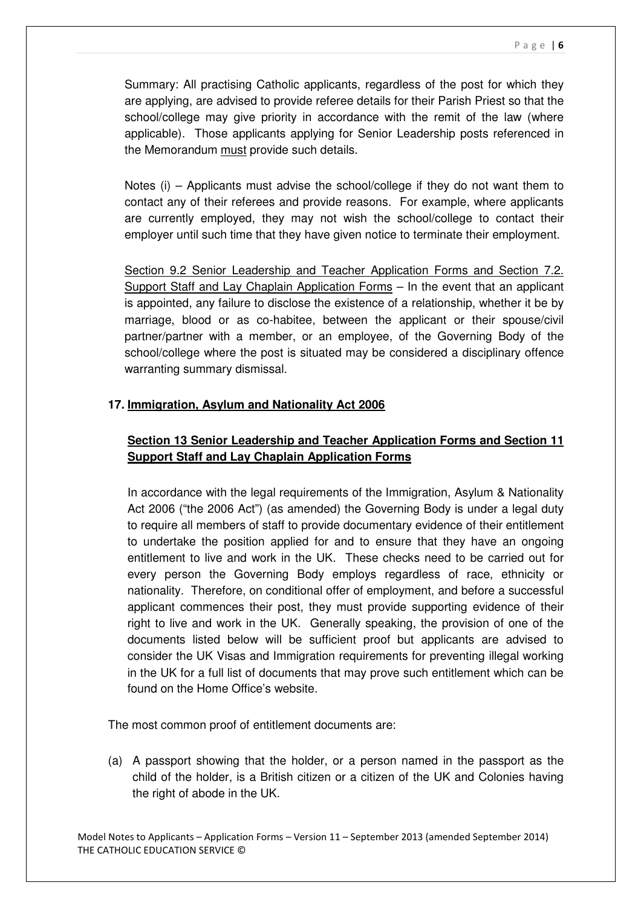Summary: All practising Catholic applicants, regardless of the post for which they are applying, are advised to provide referee details for their Parish Priest so that the school/college may give priority in accordance with the remit of the law (where applicable). Those applicants applying for Senior Leadership posts referenced in the Memorandum must provide such details.

Notes (i) – Applicants must advise the school/college if they do not want them to contact any of their referees and provide reasons. For example, where applicants are currently employed, they may not wish the school/college to contact their employer until such time that they have given notice to terminate their employment.

Section 9.2 Senior Leadership and Teacher Application Forms and Section 7.2. Support Staff and Lay Chaplain Application Forms – In the event that an applicant is appointed, any failure to disclose the existence of a relationship, whether it be by marriage, blood or as co-habitee, between the applicant or their spouse/civil partner/partner with a member, or an employee, of the Governing Body of the school/college where the post is situated may be considered a disciplinary offence warranting summary dismissal.

# **17. Immigration, Asylum and Nationality Act 2006**

# **Section 13 Senior Leadership and Teacher Application Forms and Section 11 Support Staff and Lay Chaplain Application Forms**

In accordance with the legal requirements of the Immigration, Asylum & Nationality Act 2006 ("the 2006 Act") (as amended) the Governing Body is under a legal duty to require all members of staff to provide documentary evidence of their entitlement to undertake the position applied for and to ensure that they have an ongoing entitlement to live and work in the UK. These checks need to be carried out for every person the Governing Body employs regardless of race, ethnicity or nationality. Therefore, on conditional offer of employment, and before a successful applicant commences their post, they must provide supporting evidence of their right to live and work in the UK. Generally speaking, the provision of one of the documents listed below will be sufficient proof but applicants are advised to consider the UK Visas and Immigration requirements for preventing illegal working in the UK for a full list of documents that may prove such entitlement which can be found on the Home Office's website.

The most common proof of entitlement documents are:

(a) A passport showing that the holder, or a person named in the passport as the child of the holder, is a British citizen or a citizen of the UK and Colonies having the right of abode in the UK.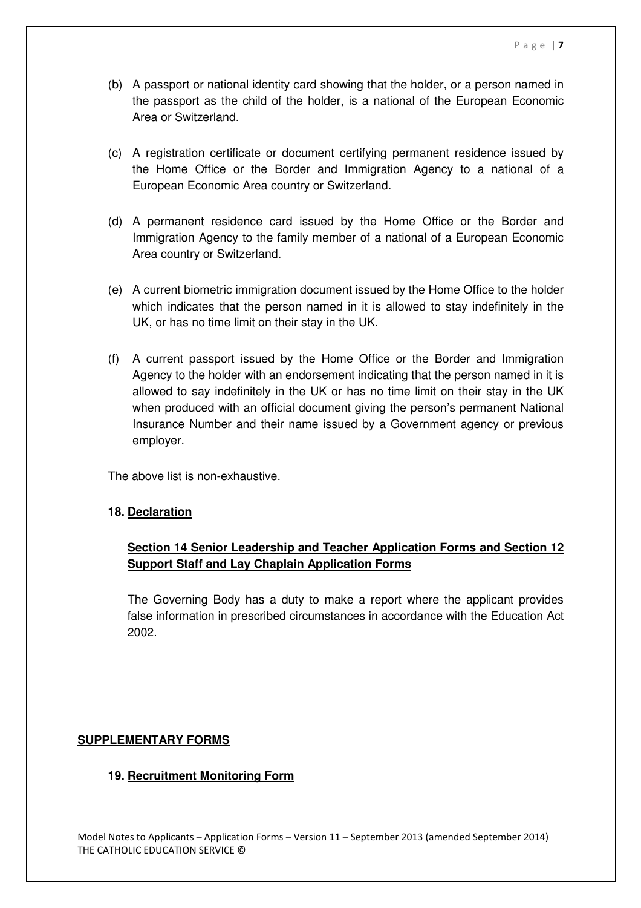- (b) A passport or national identity card showing that the holder, or a person named in the passport as the child of the holder, is a national of the European Economic Area or Switzerland.
- (c) A registration certificate or document certifying permanent residence issued by the Home Office or the Border and Immigration Agency to a national of a European Economic Area country or Switzerland.
- (d) A permanent residence card issued by the Home Office or the Border and Immigration Agency to the family member of a national of a European Economic Area country or Switzerland.
- (e) A current biometric immigration document issued by the Home Office to the holder which indicates that the person named in it is allowed to stay indefinitely in the UK, or has no time limit on their stay in the UK.
- (f) A current passport issued by the Home Office or the Border and Immigration Agency to the holder with an endorsement indicating that the person named in it is allowed to say indefinitely in the UK or has no time limit on their stay in the UK when produced with an official document giving the person's permanent National Insurance Number and their name issued by a Government agency or previous employer.

The above list is non-exhaustive.

# **18. Declaration**

# **Section 14 Senior Leadership and Teacher Application Forms and Section 12 Support Staff and Lay Chaplain Application Forms**

The Governing Body has a duty to make a report where the applicant provides false information in prescribed circumstances in accordance with the Education Act 2002.

# **SUPPLEMENTARY FORMS**

# **19. Recruitment Monitoring Form**